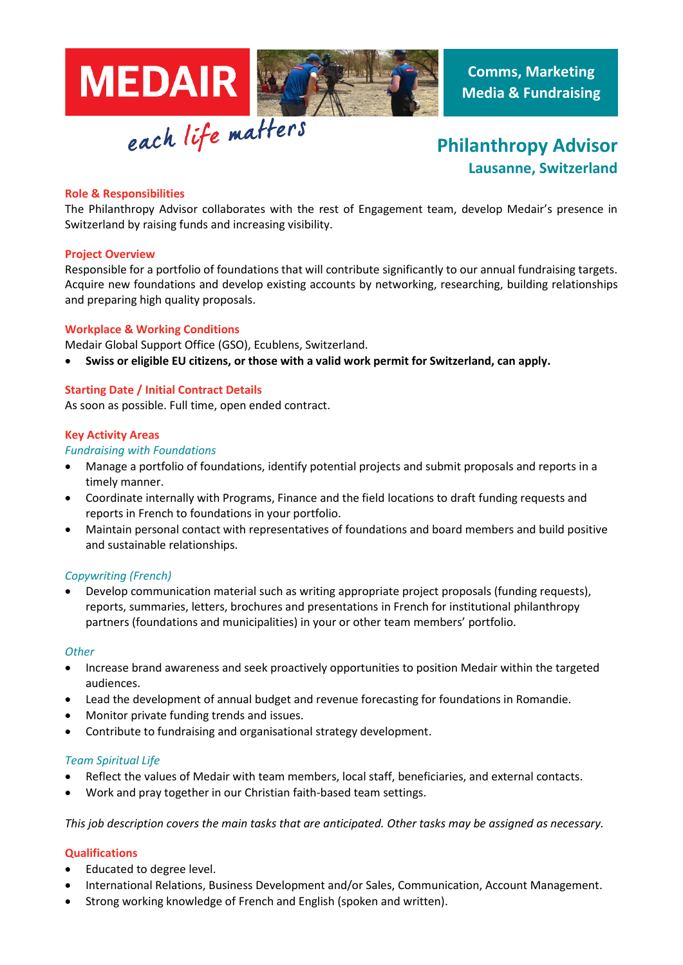

# **Philanthropy Advisor Lausanne, Switzerland**

## **Role & Responsibilities**

The Philanthropy Advisor collaborates with the rest of Engagement team, develop Medair's presence in Switzerland by raising funds and increasing visibility.

## **Project Overview**

Responsible for a portfolio of foundations that will contribute significantly to our annual fundraising targets. Acquire new foundations and develop existing accounts by networking, researching, building relationships and preparing high quality proposals.

## **Workplace & Working Conditions**

Medair Global Support Office (GSO), Ecublens, Switzerland.

• **Swiss or eligible EU citizens, or those with a valid work permit for Switzerland, can apply.** 

## **Starting Date / Initial Contract Details**

As soon as possible. Full time, open ended contract.

## **Key Activity Areas**

## *Fundraising with Foundations*

- Manage a portfolio of foundations, identify potential projects and submit proposals and reports in a timely manner.
- Coordinate internally with Programs, Finance and the field locations to draft funding requests and reports in French to foundations in your portfolio.
- Maintain personal contact with representatives of foundations and board members and build positive and sustainable relationships.

# *Copywriting (French)*

• Develop communication material such as writing appropriate project proposals (funding requests), reports, summaries, letters, brochures and presentations in French for institutional philanthropy partners (foundations and municipalities) in your or other team members' portfolio.

## *Other*

- Increase brand awareness and seek proactively opportunities to position Medair within the targeted audiences.
- Lead the development of annual budget and revenue forecasting for foundations in Romandie.
- Monitor private funding trends and issues.
- Contribute to fundraising and organisational strategy development.

## *Team Spiritual Life*

- Reflect the values of Medair with team members, local staff, beneficiaries, and external contacts.
- Work and pray together in our Christian faith-based team settings.

*This job description covers the main tasks that are anticipated. Other tasks may be assigned as necessary.*

## **Qualifications**

- Educated to degree level.
- International Relations, Business Development and/or Sales, Communication, Account Management.
- Strong working knowledge of French and English (spoken and written).